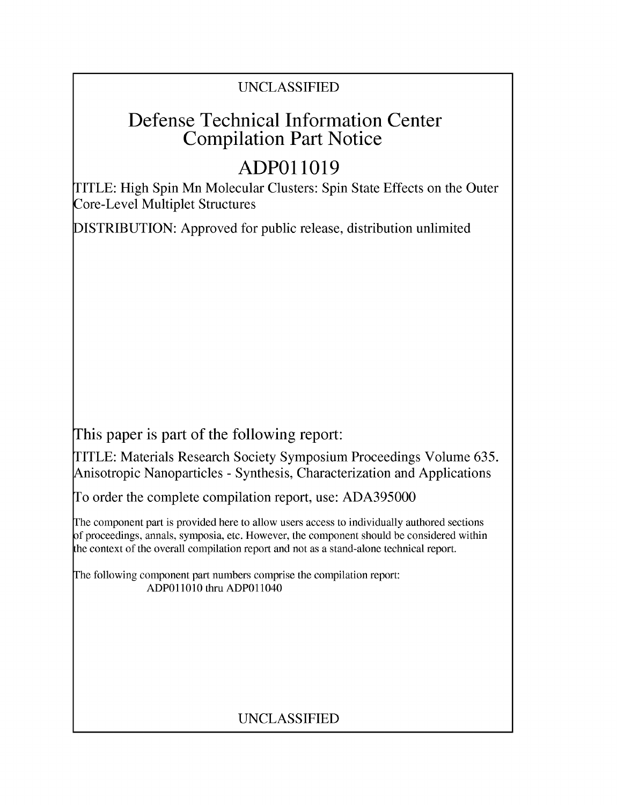# UNCLASSIFIED

# Defense Technical Information Center Compilation Part Notice

# **ADPO 11019**

TITLE: High Spin Mn Molecular Clusters: Spin State Effects on the Outer Core-Level Multiplet Structures

DISTRIBUTION: Approved for public release, distribution unlimited

This paper is part of the following report:

TITLE: Materials Research Society Symposium Proceedings Volume 635. Anisotropic Nanoparticles - Synthesis, Characterization and Applications

To order the complete compilation report, use: ADA395000

The component part is provided here to allow users access to individually authored sections f proceedings, annals, symposia, etc. However, the component should be considered within [he context of the overall compilation report and not as a stand-alone technical report.

The following component part numbers comprise the compilation report: **ADPO11010** thru ADPO11040

# UNCLASSIFIED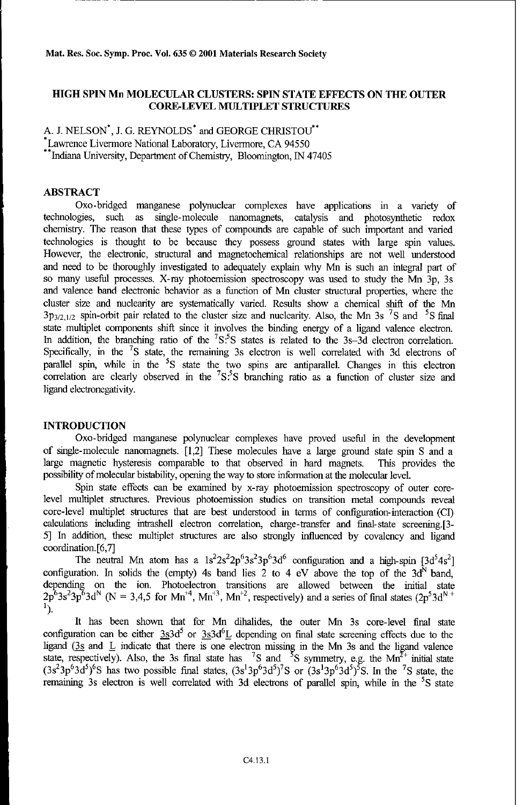## **HIGH SPIN** Mn **MOLECULAR CLUSTERS:** SPIN **STATE EFFECTS ON** THE OUTER CORE-LEVEL **MULTIPLET STRUCTURES**

A. J. NELSON<sup>\*</sup>, J. G. REYNOLDS<sup>\*</sup> and GEORGE CHRISTOU<sup>\*\*</sup> Lawrence Livermore National Laboratory, Livermore, CA 94550<br>\*\*Indiana University, Department of Chemistry, Bloomington, IN 47405

## ABSTRACT

Oxo-bridged manganese polynuclear complexes have applications in a variety of technologies, such as single-molecule nanomagnets, catalysis and photosynthetic redox chemistry. The reason that these types of compounds are capable of such important and varied technologies is thought to be because they possess ground states with large spin values. However, the electronic, structural and magnetochemical relationships are not well understood and need to be thoroughly investigated to adequately explain why Mn is such an integral part of so many useful processes. X-ray photoemission spectroscopy was used to study the Mn 3p, 3s and valence band electronic behavior as a function of Mn cluster structural properties, where the cluster size and nuclearity are systematically varied. Results show a chemical shift of the Mn 3p<sub>3/2,1/2</sub> spin-orbit pair related to the cluster size and nuclearity. Also, the Mn 3s <sup>7</sup>S and <sup>5</sup>S final state multiplet components shift since it involves the binding energy of a ligand valence electron. In addition, the branching ratio of the  ${}^{7}S.{}^{5}S$  states is related to the 3s-3d electron correlation. Specifically, in the **7S** state, the remaining 3s electron is well correlated with 3d electrons of parallel spin, while in the **5S** state the two spins are antiparallel. Changes in this electron correlation are clearly observed in the <sup>7</sup>S.<sup>5</sup>S branching ratio as a function of cluster size and ligand electronegativity.

# **INTRODUCTION**

Oxo-bridged manganese polynuclear complexes have proved useful in the development of single-molecule nanomagnets. [1,2] These molecules have a large ground state spin S and a large magnetic hysteresis comparable to that observed in hard magnets. This provides the possibility of molecular bistability, opening the way to store information at the molecular level.

Spin state effects can be examined by x-ray photoemission spectroscopy of outer corelevel multiplet structures. Previous photoemission studies on transition metal compounds reveal core-level multiplet structures that are best understood in terms of configuration-interaction (CI) calculations including intrashell electron correlation, charge-transfer and final-state screening.[3- 5] In addition, these multiplet structures are also strongly influenced by covalency and ligand coordination. [6,7]

The neutral Mn atom has a  $1s^2 2s^2 2p^6 3s^2 3p^6 3d^6$  configuration and a high-spin  $[3d^5 4s^2]$ configuration. In solids the (empty) 4s band lies 2 to 4 eV above the top of the  $3d^N$  band, depending on the ion. Photoelectron transitions are allowed between the initial state  $2p^63s^23p^63d^N$  (N = 3,4,5 for Mn<sup>+4</sup>, Mn<sup>+3</sup>, Mn<sup>+2</sup>, respectively) and a series of final states  $(2p^53d^N + p^4)$ **1).**

It has been shown that for Mn dihalides, the outer Mn 3s core-level final state configuration can be either  $3s3d^5$  or  $3s3d^6$ L depending on final state screening effects due to the ligand (3s and L indicate that there is one electron missing in the Mn 3s and the ligand valence state, respectively). Also, the 3s final state has <sup>7</sup>S and <sup>5</sup>S symmetry, e.g. the Mn<sup>2+</sup> initial state ( $3s<sup>2</sup>3p<sup>6</sup>3d<sup>5</sup>$ )<sup>6</sup>S has two possible final states,  $(3s<sup>1</sup>3p<sup>6</sup>3d<sup>5</sup>)<sup>7</sup>S$  or  $(3s<sup>1</sup>3p<sup>6</sup>3d<sup>5</sup>)<sup>5</sup>S$ . In the <sup>7</sup>S state, the remaining 3s electron is well correlated with 3d electrons of parallel spin, while in the <sup>5</sup>S state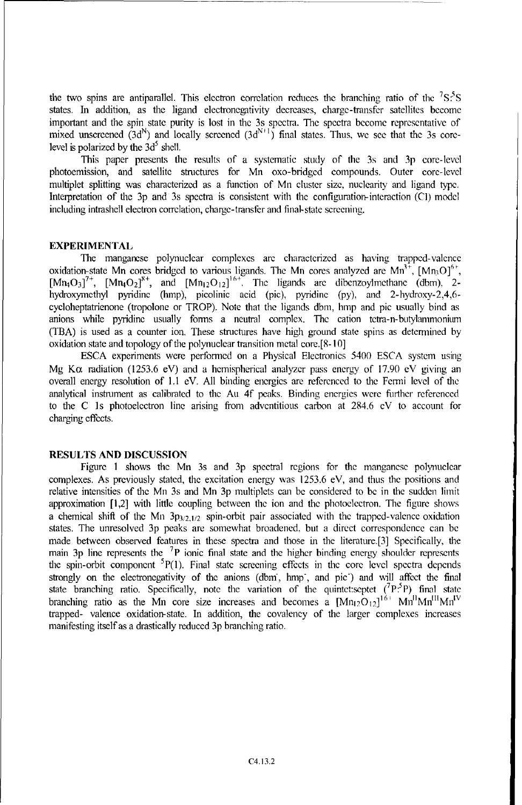the two spins are antiparallel. This electron correlation reduces the branching ratio of the **7S:'S** states. In addition, as the ligand electronegitivity decreases, charge-transfer satellites become important and the spin state purity is lost in the 3s spectra. The spectra become representative of mixed unscreened  $(3d^N)$  and locally screened  $(3d^{N+1})$  final states. Thus, we see that the 3s corelevel is polarized by the  $3d<sup>5</sup>$  shell.

This paper presents the results of a systematic study of the 3s and 3p core-level photoemission, and satellite structures for Mn oxo-bridged compounds. Outer core-level multiplet splitting was characterized as a function of Mn cluster size, nuclearity and ligand type. Interpretation of the 3p and 3s spectra is consistent with the configuration-interaction (Cl) model including intrashell electron correlation, charge-transfer and final-state screening.

#### EXPERIMENTAL

The manganese polynuclear complexes are characterized as having trapped-valence oxidation-state Mn cores bridged to various ligands. The Mn cores analyzed are  $\text{Mn}^{3+}$ ,  $\text{[Mn3O]}^{6+}$  $[Mn_4O_3]^7$ <sup>+</sup>,  $[Mn_4O_2]^8$ <sup>+</sup>, and  $[Mn_{12}O_{12}]^{16}$ <sup>+</sup>. The ligands are dibenzoylmethane (dbm), 2hydroxymethyl pyridine (hmp), picolinic acid (pie), pyridine (py), and 2-hydroxy-2,4,6 cycloheptatrienone (tropolone or TROP). Note that the ligands dbm, hmp and pie usually bind as anions while pyridine usually forms a neutral complex. The cation tetra-n-butylanmmonium (TBA) is used as a counter ion. These structures have high ground state spins as determined by oxidation state and topology of the polynuclear transition metal core.[8- 10]

ESCA experiments were performed on a Physical Electronics 5400 ESCA system using Mg K $\alpha$  radiation (1253.6 eV) and a hemispherical analyzer pass energy of 17.90 eV giving an overall energy resolution of 1.1 eV. All binding energies are referenced to the Fermi level of the analytical instrument as calibrated to the Au 4f peaks. Binding energies were further referenced to the C Is photoelectron line arising from adventitious carbon at 284.6 eV to account for charging effects.

### RESULTS AND DISCUSSION

Figure 1 shows the Mn 3s and 3p spectral regions for the manganese polynuclear complexes. As previously stated, the excitation energy was 1253.6 eV, and thus the positions and relative intensities of the Mn 3s and Mn 3p multiplets can be considered to be in the sudden limit approximation [1,2] with little coupling between the ion and the photoelectron. The figure shows a chemical shift of the Mn 3p<sub>3/2,1/2</sub> spin-orbit pair associated with the trapped-valence oxidation states. The unresolved 3p peaks are somewhat broadened. but a direct correspondence can be made between observed features in these spectra and those in the literature.[3] Specifically, the main 3p line represents the **7p** ionic final state and the higher binding energy shoulder represents the spin-orbit component  ${}^{5}P(1)$ . Final state screening effects in the core level spectra depends strongly on the electronegativity of the anions (dbm, hmp, and pic) and will affect the final state branching ratio. Specifically, note the variation of the quintet: septet  $(^{7}P;^{5}P)$  final state branching ratio as the Mn core size increases and becomes a  $[Mn_{12}O_{12}]^{16}$   $Mn^{11}Mn^{11}Mn^{11}$ trapped- valence oxidation-state. In addition, the covalency of the larger complexes increases manifesting itself as a drastically reduced 3p branching ratio.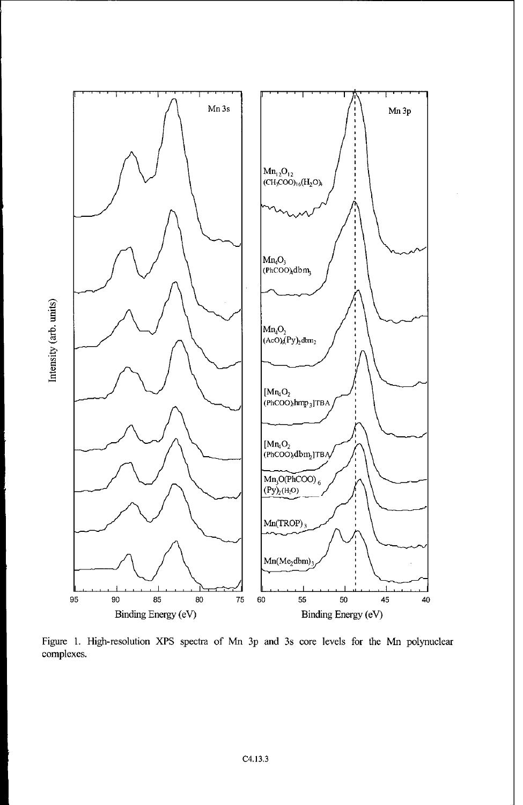

Figure 1. High-resolution XPS spectra of Mn 3p and 3s core levels for the Mn polynuclear complexes.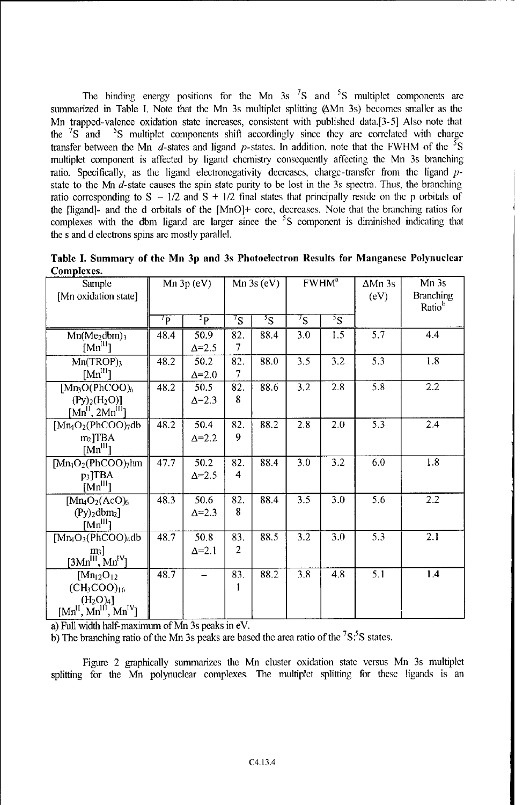The binding energy positions for the Mn  $3s$   $7s$  and  $5s$  multiplet components are summarized in Table **1.** Note that the Mn 3s multiplet splitting (AMn 3s) becomes smaller as the Mn trapped-valence oxidation state increases, consistent with published data.[3-5] Also note that the  ${}^{7}S$  and  ${}^{5}S$  multiplet components shift accordingly since they are correlated with charge transfer between the Mn  $d$ -states and ligand p-states. In addition, note that the FWHM of the <sup>5</sup>S multiplet component is affected by ligand chemistry consequently affecting the Mn 3s branching ratio. Specifically, as the ligand electronegativity decreases, charge-transfer from the ligand pstate to the **Mn** d-state causes the spin state purity to be lost in the 3s spectra. Thus, the branching ratio corresponding to  $S - 1/2$  and  $S + 1/2$  final states that principally reside on the p orbitals of the [ligand]- and the d orbitals of the [MnO]+ core, decreases. Note that the branching ratios for complexes with the dbm ligand are larger since the <sup>5</sup>S component is diminished indicating that the s and d electrons spins are mostly parallel.

| Sample                                                                                         | Mn $3p$ (eV)        |                        | Mn $3s$ (eV)          |                | FWHM <sup>a</sup> |               | $\Delta$ Mn 3s | Mn <sub>3s</sub>                       |
|------------------------------------------------------------------------------------------------|---------------------|------------------------|-----------------------|----------------|-------------------|---------------|----------------|----------------------------------------|
| [Mn oxidation state]                                                                           |                     |                        |                       |                |                   |               | (eV)           | <b>Branching</b><br>Ratio <sup>b</sup> |
|                                                                                                | $\tau_{\mathbf{P}}$ | 5p                     | $\frac{7}{5}$         | $\overline{S}$ | $\frac{7}{5}$     | $\frac{5}{5}$ |                |                                        |
| $Mn(Me_2dbm_3)$<br>$[Mn^{III}]$                                                                | 48.4                | 50.9<br>$\Delta = 2.5$ | 82.<br>7              | 88.4           | 3.0               | 1.5           | 5.7            | 4.4                                    |
| $Mn(TROP)$ <sub>3</sub><br>$[Mn^{\rm HI}]$                                                     | 48.2                | 50.2<br>$\Delta = 2.0$ | 82.<br>7              | 88.0           | 3.5               | 3.2           | 5.3            | 1.8                                    |
| $[Mn_3O(PhCOO)_6]$<br>$(Py)_{2}(H_{2}O)$ ]<br>[Mn <sup>II</sup> , 2Mn <sup>III</sup> ]         | 48.2                | 50.5<br>$\Delta = 2.3$ | 82.<br>8              | 88.6           | 3.2               | 2.8           | 5.8            | 2.2                                    |
| $[Mn_4O_2(PhCOO)_7db$<br>$m2$ TBA<br>[Mn <sup>III</sup> ]                                      | 48.2                | 50.4<br>$\Delta = 2.2$ | 82.<br>9              | 88.2           | 2.8               | 2.0           | 5.3            | 2.4                                    |
| $[Mn_4O_2(PhCOO)$ <sub>7</sub> hm<br>$p3$ TBA<br>[Mn <sup>III</sup> ]                          | 47.7                | 50.2<br>$\Delta = 2.5$ | 82.<br>4              | 88.4           | 3.0               | 3.2           | 6.0            | 1.8                                    |
| $[Mn_4O_2(AcO)_6]$<br>$(Py)$ <sub>2</sub> dbm <sub>2</sub> ]<br>$[Mn^{III}]$                   | 48.3                | 50.6<br>$\Delta = 2.3$ | 82.<br>8              | 88.4           | 3.5               | 3.0           | 5.6            | 2.2                                    |
| $[Mn_4O_3(PhCOO)_4db$<br>m <sub>3</sub><br>$[3Mn^{III}, Mn^{IV}]$                              | 48.7                | 50.8<br>$\Delta = 2.1$ | 83.<br>$\overline{2}$ | 88.5           | $\overline{3.2}$  | 3.0           | 5.3            | 2.1                                    |
| $[Mn_{12}O_{12}]$<br>$(CH_3COO)_{16}$<br>(H <sub>2</sub> O) <sub>4</sub><br>$[MnH, MnH, MnIV]$ | 48.7                |                        | 83.<br>1              | 88.2           | 3.8               | 4.8           | 5.1            | 1.4                                    |

Table **I.** Summary of the Mn **3p** and 3s Photoelectron Results for Manganese Polynuclear Complexes.

a) Full width half-maximum of Mn 3s peaks in eV.

b) The branching ratio of the Mn 3s peaks are based the area ratio of the  ${}^{7}S.{}^{5}S$  states

Figure 2 graphically summarizes the Mn cluster oxidation state versus Mn 3s multiplet splitting for the Mn polynuclear complexes. The multiplet splitting for these ligands is an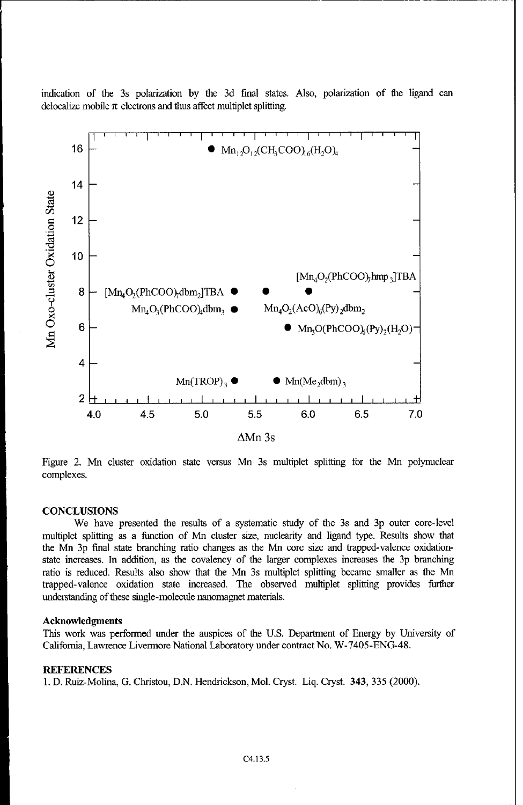indication of the 3s polarization by the 3d final states. Also, polarization of the ligand can delocalize mobile  $\pi$  electrons and thus affect multiplet splitting.



Figure 2. Mn cluster oxidation state versus Mn 3s multiplet splitting for the Mn polynuclear complexes.

#### **CONCLUSIONS**

We have presented the results of a systematic study of the 3s and 3p outer core-level multiplet splitting as a function of Mn cluster size, nuclearity and ligand type. Results show that the Mn 3p final state branching ratio changes as the Mn core size and trapped-valence oxidationstate increases. In addition, as the covalency of the larger complexes increases the 3p branching ratio is reduced. Results also show that the Mn 3s multiplet splitting became smaller as the Mn trapped-valence oxidation state increased. The observed multiplet splitting provides further understanding of these single-molecule nanomagnet materials.

#### Acknowledgments

This work was performed under the auspices of the U.S. Department of Energy by University of California, Lawrence Livermore National Laboratory under contract No. W-7405-ENG-48.

### **REFERENCES**

1. D. Ruiz-Molina, G. Christou, D.N. Hendrickson, Mol. Cryst. Liq. Cryst. 343, 335 (2000).